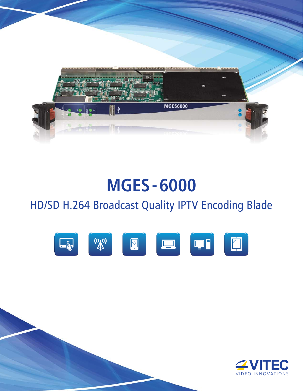

# **MGES-6000**

## HD/SD H.264 Broadcast Quality IPTV Encoding Blade



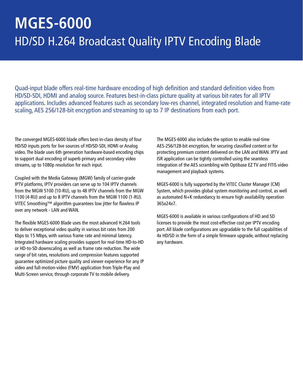# **MGES-6000** HD/SD H.264 Broadcast Quality IPTV Encoding Blade

Quad-input blade offers real-time hardware encoding of high definition and standard definition video from HD/SD-SDI, HDMI and analog source. Features best-in-class picture quality at various bit-rates for all IPTV applications. Includes advanced features such as secondary low-res channel, integrated resolution and frame-rate scaling, AES 256/128-bit encryption and streaming to up to 7 IP destinations from each port.

The converged MGES-6000 blade offers best-in-class density of four HD/SD inputs ports for live sources of HD/SD-SDI, HDMI or Analog video. The blade uses 6th generation hardware-based encoding chips to support dual encoding of superb primary and secondary video streams, up to 1080p resolution for each input.

Coupled with the Media Gateway (MGW) family of carrier-grade IPTV platforms, IPTV providers can serve up to 104 IPTV channels from the MGW 5100 (10-RU), up to 48 IPTV channels from the MGW 1100 (4-RU) and up to 8 IPTV channels from the MGW 1100 (1-RU). VITEC Smoothing™ algorithm guarantees low jitter for flawless IP over any network - LAN and WAN.

The flexible MGES-6000 Blade uses the most advanced H.264 tools to deliver exceptional video quality in various bit rates from 200 Kbps to 15 Mbps, with various frame rate and minimal latency. Integrated hardware scaling provides support for real-time HD-to-HD or HD-to-SD downscaling as well as frame rate reduction. The wide range of bit rates, resolutions and compression features supported guarantee optimized picture quality and viewer experience for any IP video and full-motion-video (FMV) application from Triple-Play and Multi-Screen service, through corporate TV to mobile delivery.

The MGES-6000 also includes the option to enable real-time AES-256/128-bit encryption, for securing classified content or for protecting premium content delivered on the LAN and WAN. IPTV and ISR application can be tightly controlled using the seamless integration of the AES scrambling with Optibase EZ TV and FITIS video management and playback systems.

MGES-6000 is fully supported by the VITEC Cluster Manager (CM) System, which provides global system monitoring and control, as well as automated N+K redundancy to ensure high availability operation 365x24x7.

MGES-6000 is available in various configurations of HD and SD licenses to provide the most cost-effective cost per IPTV encoding port. All blade configurations are upgradable to the full capabilities of 4x HD/SD in the form of a simple firmware upgrade, without replacing any hardware.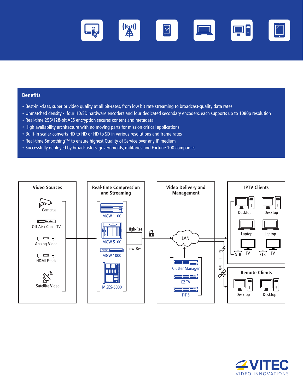

#### **Benefits**

- Best-in -class, superior video quality at all bit-rates, from low bit rate streaming to broadcast-quality data rates
- Unmatched density four HD/SD hardware encoders and four dedicated secondary encoders, each supports up to 1080p resolution
- Real-time 256/128-bit AES encryption secures content and metadata
- High availability architecture with no moving parts for mission critical applications
- Built-in scalar converts HD to HD or HD to SD in various resolutions and frame rates
- Real-time Smoothing™ to ensure highest Quality of Service over any IP medium
- Successfully deployed by broadcasters, governments, militaries and Fortune 100 companies